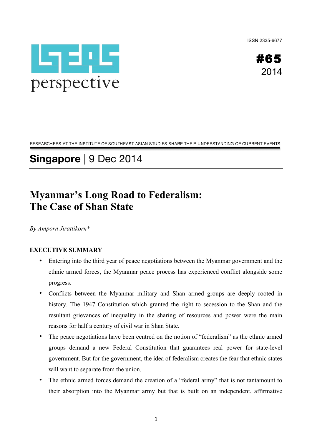ISSN 2335-6677





RESEARCHERS AT THE INSTITUTE OF SOUTHEAST ASIAN STUDIES SHARE THEIR UNDERSTANDING OF CURRENT EVENTS

# **Singapore** | 9 Dec 2014

# **Myanmar's Long Road to Federalism: The Case of Shan State**

*By Amporn Jirattikorn\**

# **EXECUTIVE SUMMARY**

- Entering into the third year of peace negotiations between the Myanmar government and the ethnic armed forces, the Myanmar peace process has experienced conflict alongside some progress.
- Conflicts between the Myanmar military and Shan armed groups are deeply rooted in history. The 1947 Constitution which granted the right to secession to the Shan and the resultant grievances of inequality in the sharing of resources and power were the main reasons for half a century of civil war in Shan State.
- The peace negotiations have been centred on the notion of "federalism" as the ethnic armed groups demand a new Federal Constitution that guarantees real power for state-level government. But for the government, the idea of federalism creates the fear that ethnic states will want to separate from the union.
- The ethnic armed forces demand the creation of a "federal army" that is not tantamount to their absorption into the Myanmar army but that is built on an independent, affirmative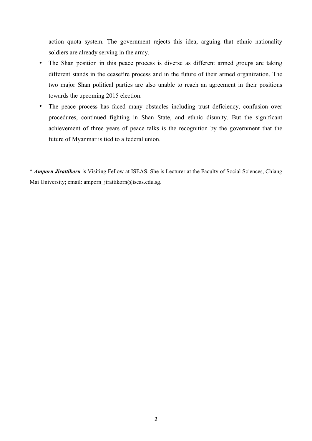action quota system. The government rejects this idea, arguing that ethnic nationality soldiers are already serving in the army.

- The Shan position in this peace process is diverse as different armed groups are taking different stands in the ceasefire process and in the future of their armed organization. The two major Shan political parties are also unable to reach an agreement in their positions towards the upcoming 2015 election.
- The peace process has faced many obstacles including trust deficiency, confusion over procedures, continued fighting in Shan State, and ethnic disunity. But the significant achievement of three years of peace talks is the recognition by the government that the future of Myanmar is tied to a federal union.

\* *Amporn Jirattikorn* is Visiting Fellow at ISEAS. She is Lecturer at the Faculty of Social Sciences, Chiang Mai University; email: amporn\_jirattikorn@iseas.edu.sg.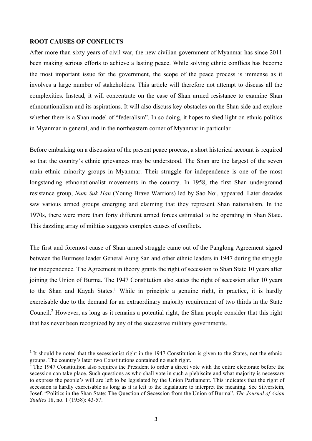#### **ROOT CAUSES OF CONFLICTS**

<u> 1989 - Johann Stein, mars et al. 1989 - Anna ann an t-Anna ann an t-Anna ann an t-Anna ann an t-Anna ann an t-</u>

After more than sixty years of civil war, the new civilian government of Myanmar has since 2011 been making serious efforts to achieve a lasting peace. While solving ethnic conflicts has become the most important issue for the government, the scope of the peace process is immense as it involves a large number of stakeholders. This article will therefore not attempt to discuss all the complexities. Instead, it will concentrate on the case of Shan armed resistance to examine Shan ethnonationalism and its aspirations. It will also discuss key obstacles on the Shan side and explore whether there is a Shan model of "federalism". In so doing, it hopes to shed light on ethnic politics in Myanmar in general, and in the northeastern corner of Myanmar in particular.

Before embarking on a discussion of the present peace process, a short historical account is required so that the country's ethnic grievances may be understood. The Shan are the largest of the seven main ethnic minority groups in Myanmar. Their struggle for independence is one of the most longstanding ethnonationalist movements in the country. In 1958, the first Shan underground resistance group, *Num Suk Han* (Young Brave Warriors) led by Sao Noi, appeared. Later decades saw various armed groups emerging and claiming that they represent Shan nationalism. In the 1970s, there were more than forty different armed forces estimated to be operating in Shan State. This dazzling array of militias suggests complex causes of conflicts.

The first and foremost cause of Shan armed struggle came out of the Panglong Agreement signed between the Burmese leader General Aung San and other ethnic leaders in 1947 during the struggle for independence. The Agreement in theory grants the right of secession to Shan State 10 years after joining the Union of Burma. The 1947 Constitution also states the right of secession after 10 years to the Shan and Kayah States. 1 While in principle a genuine right, in practice, it is hardly exercisable due to the demand for an extraordinary majority requirement of two thirds in the State Council.<sup>2</sup> However, as long as it remains a potential right, the Shan people consider that this right that has never been recognized by any of the successive military governments.

<sup>&</sup>lt;sup>1</sup> It should be noted that the secessionist right in the 1947 Constitution is given to the States, not the ethnic groups. The country's later two Constitutions contained no such right.

 $\overline{2}$  The 1947 Constitution also requires the President to order a direct vote with the entire electorate before the secession can take place. Such questions as who shall vote in such a plebiscite and what majority is necessary to express the people's will are left to be legislated by the Union Parliament. This indicates that the right of secession is hardly exercisable as long as it is left to the legislature to interpret the meaning. See Silverstein, Josef. "Politics in the Shan State: The Question of Secession from the Union of Burma". *The Journal of Asian Studies* 18, no. 1 (1958): 43-57.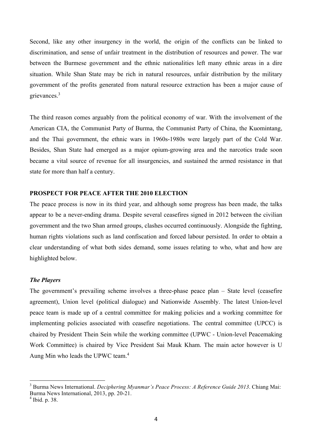Second, like any other insurgency in the world, the origin of the conflicts can be linked to discrimination, and sense of unfair treatment in the distribution of resources and power. The war between the Burmese government and the ethnic nationalities left many ethnic areas in a dire situation. While Shan State may be rich in natural resources, unfair distribution by the military government of the profits generated from natural resource extraction has been a major cause of grievances.3

The third reason comes arguably from the political economy of war. With the involvement of the American CIA, the Communist Party of Burma, the Communist Party of China, the Kuomintang, and the Thai government, the ethnic wars in 1960s-1980s were largely part of the Cold War. Besides, Shan State had emerged as a major opium-growing area and the narcotics trade soon became a vital source of revenue for all insurgencies, and sustained the armed resistance in that state for more than half a century.

# **PROSPECT FOR PEACE AFTER THE 2010 ELECTION**

The peace process is now in its third year, and although some progress has been made, the talks appear to be a never-ending drama. Despite several ceasefires signed in 2012 between the civilian government and the two Shan armed groups, clashes occurred continuously. Alongside the fighting, human rights violations such as land confiscation and forced labour persisted. In order to obtain a clear understanding of what both sides demand, some issues relating to who, what and how are highlighted below.

#### *The Players*

The government's prevailing scheme involves a three-phase peace plan – State level (ceasefire agreement), Union level (political dialogue) and Nationwide Assembly. The latest Union-level peace team is made up of a central committee for making policies and a working committee for implementing policies associated with ceasefire negotiations. The central committee (UPCC) is chaired by President Thein Sein while the working committee (UPWC - Union-level Peacemaking Work Committee) is chaired by Vice President Sai Mauk Kham. The main actor however is U Aung Min who leads the UPWC team.<sup>4</sup>

<sup>3</sup> Burma News International. *Deciphering Myanmar's Peace Process: A Reference Guide 2013*. Chiang Mai: Burma News International, 2013, pp. 20-21.

<sup>4</sup> Ibid. p. 38.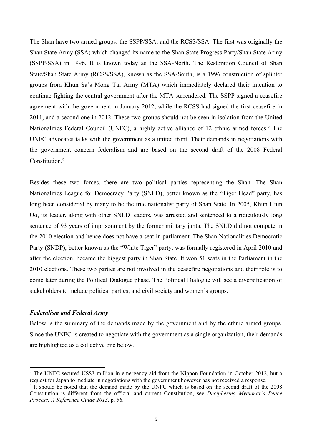The Shan have two armed groups: the SSPP/SSA, and the RCSS/SSA. The first was originally the Shan State Army (SSA) which changed its name to the Shan State Progress Party/Shan State Army (SSPP/SSA) in 1996. It is known today as the SSA-North. The Restoration Council of Shan State/Shan State Army (RCSS/SSA), known as the SSA-South, is a 1996 construction of splinter groups from Khun Sa's Mong Tai Army (MTA) which immediately declared their intention to continue fighting the central government after the MTA surrendered. The SSPP signed a ceasefire agreement with the government in January 2012, while the RCSS had signed the first ceasefire in 2011, and a second one in 2012. These two groups should not be seen in isolation from the United Nationalities Federal Council (UNFC), a highly active alliance of 12 ethnic armed forces.<sup>5</sup> The UNFC advocates talks with the government as a united front. Their demands in negotiations with the government concern federalism and are based on the second draft of the 2008 Federal Constitution $6$ 

Besides these two forces, there are two political parties representing the Shan. The Shan Nationalities League for Democracy Party (SNLD), better known as the "Tiger Head" party, has long been considered by many to be the true nationalist party of Shan State. In 2005, Khun Htun Oo, its leader, along with other SNLD leaders, was arrested and sentenced to a ridiculously long sentence of 93 years of imprisonment by the former military junta. The SNLD did not compete in the 2010 election and hence does not have a seat in parliament. The Shan Nationalities Democratic Party (SNDP), better known as the "White Tiger" party, was formally registered in April 2010 and after the election, became the biggest party in Shan State. It won 51 seats in the Parliament in the 2010 elections. These two parties are not involved in the ceasefire negotiations and their role is to come later during the Political Dialogue phase. The Political Dialogue will see a diversification of stakeholders to include political parties, and civil society and women's groups.

## *Federalism and Federal Army*

<u> 1989 - Johann Stein, mars et al. 1989 - Anna ann an t-Anna ann an t-Anna ann an t-Anna ann an t-Anna ann an t-</u>

Below is the summary of the demands made by the government and by the ethnic armed groups. Since the UNFC is created to negotiate with the government as a single organization, their demands are highlighted as a collective one below.

<sup>&</sup>lt;sup>5</sup> The UNFC secured US\$3 million in emergency aid from the Nippon Foundation in October 2012, but a request for Japan to mediate in negotiations with the government however has not received a response.

 $6$  It should be noted that the demand made by the UNFC which is based on the second draft of the 2008 Constitution is different from the official and current Constitution, see *Deciphering Myanmar's Peace Process: A Reference Guide 2013*, p. 56.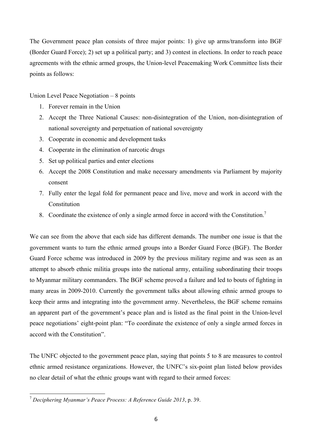The Government peace plan consists of three major points: 1) give up arms/transform into BGF (Border Guard Force); 2) set up a political party; and 3) contest in elections. In order to reach peace agreements with the ethnic armed groups, the Union-level Peacemaking Work Committee lists their points as follows:

Union Level Peace Negotiation – 8 points

- 1. Forever remain in the Union
- 2. Accept the Three National Causes: non-disintegration of the Union, non-disintegration of national sovereignty and perpetuation of national sovereignty
- 3. Cooperate in economic and development tasks
- 4. Cooperate in the elimination of narcotic drugs
- 5. Set up political parties and enter elections
- 6. Accept the 2008 Constitution and make necessary amendments via Parliament by majority consent
- 7. Fully enter the legal fold for permanent peace and live, move and work in accord with the Constitution
- 8. Coordinate the existence of only a single armed force in accord with the Constitution.<sup>7</sup>

We can see from the above that each side has different demands. The number one issue is that the government wants to turn the ethnic armed groups into a Border Guard Force (BGF). The Border Guard Force scheme was introduced in 2009 by the previous military regime and was seen as an attempt to absorb ethnic militia groups into the national army, entailing subordinating their troops to Myanmar military commanders. The BGF scheme proved a failure and led to bouts of fighting in many areas in 2009-2010. Currently the government talks about allowing ethnic armed groups to keep their arms and integrating into the government army. Nevertheless, the BGF scheme remains an apparent part of the government's peace plan and is listed as the final point in the Union-level peace negotiations' eight-point plan: "To coordinate the existence of only a single armed forces in accord with the Constitution".

The UNFC objected to the government peace plan, saying that points 5 to 8 are measures to control ethnic armed resistance organizations. However, the UNFC's six-point plan listed below provides no clear detail of what the ethnic groups want with regard to their armed forces:

<sup>7</sup> *Deciphering Myanmar's Peace Process: A Reference Guide 2013*, p. 39.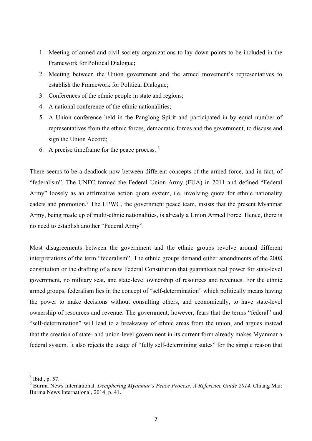- 1. Meeting of armed and civil society organizations to lay down points to be included in the Framework for Political Dialogue;
- 2. Meeting between the Union government and the armed movement's representatives to establish the Framework for Political Dialogue;
- 3. Conferences of the ethnic people in state and regions;
- 4. A national conference of the ethnic nationalities;
- 5. A Union conference held in the Panglong Spirit and participated in by equal number of representatives from the ethnic forces, democratic forces and the government, to discuss and sign the Union Accord;
- 6. A precise timeframe for the peace process. <sup>8</sup>

There seems to be a deadlock now between different concepts of the armed force, and in fact, of "federalism". The UNFC formed the Federal Union Army (FUA) in 2011 and defined "Federal Army" loosely as an affirmative action quota system, i.e. involving quota for ethnic nationality cadets and promotion.<sup>9</sup> The UPWC, the government peace team, insists that the present Myanmar Army, being made up of multi-ethnic nationalities, is already a Union Armed Force. Hence, there is no need to establish another "Federal Army".

Most disagreements between the government and the ethnic groups revolve around different interpretations of the term "federalism". The ethnic groups demand either amendments of the 2008 constitution or the drafting of a new Federal Constitution that guarantees real power for state-level government, no military seat, and state-level ownership of resources and revenues. For the ethnic armed groups, federalism lies in the concept of "self-determination" which politically means having the power to make decisions without consulting others, and economically, to have state-level ownership of resources and revenue. The government, however, fears that the terms "federal" and "self-determination" will lead to a breakaway of ethnic areas from the union, and argues instead that the creation of state- and union-level government in its current form already makes Myanmar a federal system. It also rejects the usage of "fully self-determining states" for the simple reason that

<sup>8</sup> Ibid., p. 57.

<sup>9</sup> Burma News International. *Deciphering Myanmar's Peace Process: A Reference Guide 2014*. Chiang Mai: Burma News International, 2014, p. 41.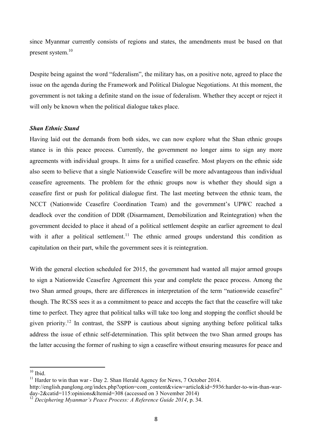since Myanmar currently consists of regions and states, the amendments must be based on that present system. 10

Despite being against the word "federalism", the military has, on a positive note, agreed to place the issue on the agenda during the Framework and Political Dialogue Negotiations. At this moment, the government is not taking a definite stand on the issue of federalism. Whether they accept or reject it will only be known when the political dialogue takes place.

#### *Shan Ethnic Stand*

Having laid out the demands from both sides, we can now explore what the Shan ethnic groups stance is in this peace process. Currently, the government no longer aims to sign any more agreements with individual groups. It aims for a unified ceasefire. Most players on the ethnic side also seem to believe that a single Nationwide Ceasefire will be more advantageous than individual ceasefire agreements. The problem for the ethnic groups now is whether they should sign a ceasefire first or push for political dialogue first. The last meeting between the ethnic team, the NCCT (Nationwide Ceasefire Coordination Team) and the government's UPWC reached a deadlock over the condition of DDR (Disarmament, Demobilization and Reintegration) when the government decided to place it ahead of a political settlement despite an earlier agreement to deal with it after a political settlement.<sup>11</sup> The ethnic armed groups understand this condition as capitulation on their part, while the government sees it is reintegration.

With the general election scheduled for 2015, the government had wanted all major armed groups to sign a Nationwide Ceasefire Agreement this year and complete the peace process. Among the two Shan armed groups, there are differences in interpretation of the term "nationwide ceasefire" though. The RCSS sees it as a commitment to peace and accepts the fact that the ceasefire will take time to perfect. They agree that political talks will take too long and stopping the conflict should be given priority.<sup>12</sup> In contrast, the SSPP is cautious about signing anything before political talks address the issue of ethnic self-determination. This split between the two Shan armed groups has the latter accusing the former of rushing to sign a ceasefire without ensuring measures for peace and

 $10$  Ibid.

<sup>&</sup>lt;sup>11</sup> Harder to win than war - Day 2. Shan Herald Agency for News, 7 October 2014.

http://english.panglong.org/index.php?option=com\_content&view=article&id=5936:harder-to-win-than-warday-2&catid=115:opinions&Itemid=308 (accessed on 3 November 2014)

<sup>12</sup> *Deciphering Myanmar's Peace Process: A Reference Guide 2014*, p. 34.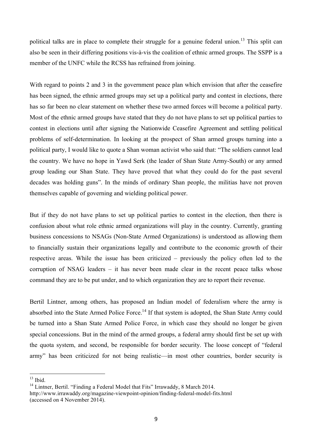political talks are in place to complete their struggle for a genuine federal union.<sup>13</sup> This split can also be seen in their differing positions vis-à-vis the coalition of ethnic armed groups. The SSPP is a member of the UNFC while the RCSS has refrained from joining.

With regard to points 2 and 3 in the government peace plan which envision that after the ceasefire has been signed, the ethnic armed groups may set up a political party and contest in elections, there has so far been no clear statement on whether these two armed forces will become a political party. Most of the ethnic armed groups have stated that they do not have plans to set up political parties to contest in elections until after signing the Nationwide Ceasefire Agreement and settling political problems of self-determination. In looking at the prospect of Shan armed groups turning into a political party, I would like to quote a Shan woman activist who said that: "The soldiers cannot lead the country. We have no hope in Yawd Serk (the leader of Shan State Army-South) or any armed group leading our Shan State. They have proved that what they could do for the past several decades was holding guns". In the minds of ordinary Shan people, the militias have not proven themselves capable of governing and wielding political power.

But if they do not have plans to set up political parties to contest in the election, then there is confusion about what role ethnic armed organizations will play in the country. Currently, granting business concessions to NSAGs (Non-State Armed Organizations) is understood as allowing them to financially sustain their organizations legally and contribute to the economic growth of their respective areas. While the issue has been criticized – previously the policy often led to the corruption of NSAG leaders – it has never been made clear in the recent peace talks whose command they are to be put under, and to which organization they are to report their revenue.

Bertil Lintner, among others, has proposed an Indian model of federalism where the army is absorbed into the State Armed Police Force.<sup>14</sup> If that system is adopted, the Shan State Army could be turned into a Shan State Armed Police Force, in which case they should no longer be given special concessions. But in the mind of the armed groups, a federal army should first be set up with the quota system, and second, be responsible for border security. The loose concept of "federal army" has been criticized for not being realistic—in most other countries, border security is

 $13$  Ibid.

<sup>&</sup>lt;sup>14</sup> Lintner, Bertil. "Finding a Federal Model that Fits" Irrawaddy, 8 March 2014. http://www.irrawaddy.org/magazine-viewpoint-opinion/finding-federal-model-fits.html (accessed on 4 November 2014).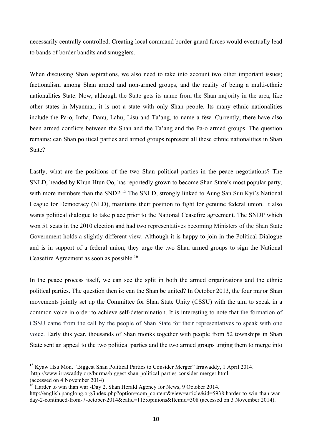necessarily centrally controlled. Creating local command border guard forces would eventually lead to bands of border bandits and smugglers.

When discussing Shan aspirations, we also need to take into account two other important issues; factionalism among Shan armed and non-armed groups, and the reality of being a multi-ethnic nationalities State. Now, although the State gets its name from the Shan majority in the area, like other states in Myanmar, it is not a state with only Shan people. Its many ethnic nationalities include the Pa-o, Intha, Danu, Lahu, Lisu and Ta'ang, to name a few. Currently, there have also been armed conflicts between the Shan and the Ta'ang and the Pa-o armed groups. The question remains: can Shan political parties and armed groups represent all these ethnic nationalities in Shan State?

Lastly, what are the positions of the two Shan political parties in the peace negotiations? The SNLD, headed by Khun Htun Oo, has reportedly grown to become Shan State's most popular party, with more members than the SNDP.<sup>15</sup> The SNLD, strongly linked to Aung San Suu Kyi's National League for Democracy (NLD), maintains their position to fight for genuine federal union. It also wants political dialogue to take place prior to the National Ceasefire agreement. The SNDP which won 51 seats in the 2010 election and had two representatives becoming Ministers of the Shan State Government holds a slightly different view. Although it is happy to join in the Political Dialogue and is in support of a federal union, they urge the two Shan armed groups to sign the National Ceasefire Agreement as soon as possible.<sup>16</sup>

In the peace process itself, we can see the split in both the armed organizations and the ethnic political parties. The question then is: can the Shan be united? In October 2013, the four major Shan movements jointly set up the Committee for Shan State Unity (CSSU) with the aim to speak in a common voice in order to achieve self-determination. It is interesting to note that the formation of CSSU came from the call by the people of Shan State for their representatives to speak with one voice. Early this year, thousands of Shan monks together with people from 52 townships in Shan State sent an appeal to the two political parties and the two armed groups urging them to merge into

**<sup>15</sup>** Kyaw Hsu Mon. "Biggest Shan Political Parties to Consider Merger" Irrawaddy, 1 April 2014.

http://www.irrawaddy.org/burma/biggest-shan-political-parties-consider-merger.html

<sup>(</sup>accessed on 4 November 2014)

 $16$  Harder to win than war -Day 2. Shan Herald Agency for News, 9 October 2014.

http://english.panglong.org/index.php?option=com\_content&view=article&id=5938:harder-to-win-than-warday-2-continued-from-7-october-2014&catid=115:opinions&Itemid=308 (accessed on 3 November 2014).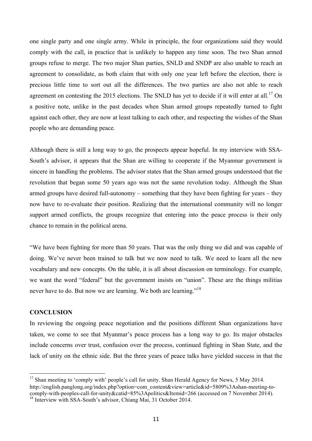one single party and one single army. While in principle, the four organizations said they would comply with the call, in practice that is unlikely to happen any time soon. The two Shan armed groups refuse to merge. The two major Shan parties, SNLD and SNDP are also unable to reach an agreement to consolidate, as both claim that with only one year left before the election, there is precious little time to sort out all the differences. The two parties are also not able to reach agreement on contesting the 2015 elections. The SNLD has yet to decide if it will enter at all.<sup>17</sup> On a positive note, unlike in the past decades when Shan armed groups repeatedly turned to fight against each other, they are now at least talking to each other, and respecting the wishes of the Shan people who are demanding peace.

Although there is still a long way to go, the prospects appear hopeful. In my interview with SSA-South's advisor, it appears that the Shan are willing to cooperate if the Myanmar government is sincere in handling the problems. The advisor states that the Shan armed groups understood that the revolution that began some 50 years ago was not the same revolution today. Although the Shan armed groups have desired full-autonomy – something that they have been fighting for years – they now have to re-evaluate their position. Realizing that the international community will no longer support armed conflicts, the groups recognize that entering into the peace process is their only chance to remain in the political arena.

"We have been fighting for more than 50 years. That was the only thing we did and was capable of doing. We've never been trained to talk but we now need to talk. We need to learn all the new vocabulary and new concepts. On the table, it is all about discussion on terminology. For example, we want the word "federal" but the government insists on "union". These are the things militias never have to do. But now we are learning. We both are learning."<sup>18</sup>

## **CONCLUSION**

<u> 1989 - Johann Stein, mars et al. 1989 - Anna ann an t-Anna ann an t-Anna ann an t-Anna ann an t-Anna ann an t-</u>

In reviewing the ongoing peace negotiation and the positions different Shan organizations have taken, we come to see that Myanmar's peace process has a long way to go. Its major obstacles include concerns over trust, confusion over the process, continued fighting in Shan State, and the lack of unity on the ethnic side. But the three years of peace talks have yielded success in that the

<sup>&</sup>lt;sup>17</sup> Shan meeting to 'comply with' people's call for unity. Shan Herald Agency for News, 5 May 2014. http://english.panglong.org/index.php?option=com\_content&view=article&id=5809%3Ashan-meeting-tocomply-with-peoples-call-for-unity&catid=85%3Apolitics&Itemid=266 (accessed on 7 November 2014).

<sup>&</sup>lt;sup>18</sup> Interview with SSA-South's advisor, Chiang Mai, 31 October 2014.